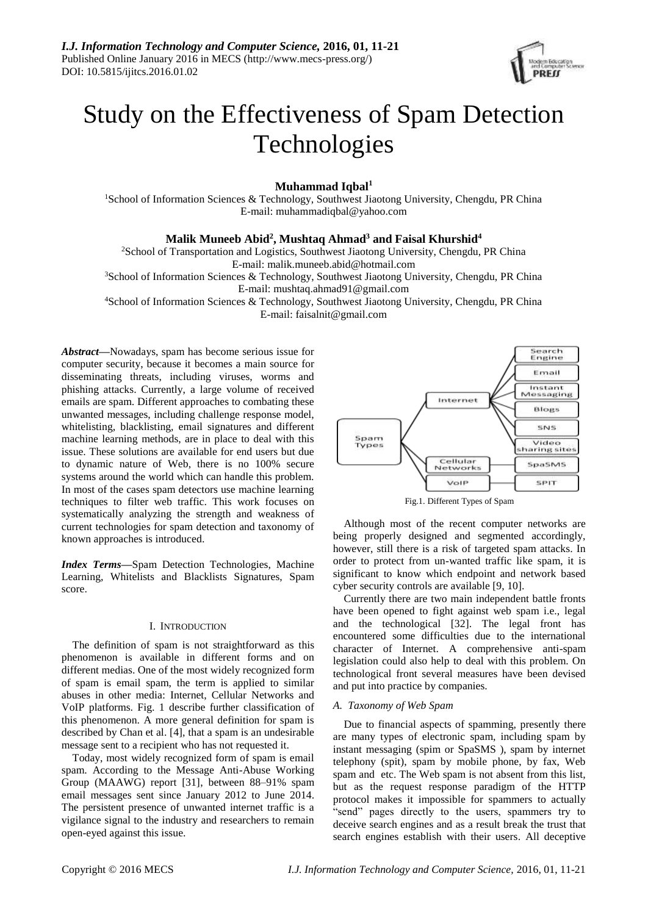

# Study on the Effectiveness of Spam Detection Technologies

**Muhammad Iqbal<sup>1</sup>**

<sup>1</sup>School of Information Sciences & Technology, Southwest Jiaotong University, Chengdu, PR China E-mail: muhammadiqbal@yahoo.com

# **Malik Muneeb Abid<sup>2</sup> , Mushtaq Ahmad <sup>3</sup> and Faisal Khurshid<sup>4</sup>**

<sup>2</sup>School of Transportation and Logistics, Southwest Jiaotong University, Chengdu, PR China

E-mail: malik.muneeb.abid@hotmail.com

<sup>3</sup>School of Information Sciences & Technology, Southwest Jiaotong University, Chengdu, PR China

E-mail: mushtaq.ahmad91@gmail.com

<sup>4</sup>School of Information Sciences & Technology, Southwest Jiaotong University, Chengdu, PR China E-mail: faisalnit@gmail.com

*Abstract***—**Nowadays, spam has become serious issue for computer security, because it becomes a main source for disseminating threats, including viruses, worms and phishing attacks. Currently, a large volume of received emails are spam. Different approaches to combating these unwanted messages, including challenge response model, whitelisting, blacklisting, email signatures and different machine learning methods, are in place to deal with this issue. These solutions are available for end users but due to dynamic nature of Web, there is no 100% secure systems around the world which can handle this problem. In most of the cases spam detectors use machine learning techniques to filter web traffic. This work focuses on systematically analyzing the strength and weakness of current technologies for spam detection and taxonomy of known approaches is introduced.

*Index Terms***—**Spam Detection Technologies, Machine Learning, Whitelists and Blacklists Signatures, Spam score.

# I. INTRODUCTION

The definition of spam is not straightforward as this phenomenon is available in different forms and on different medias. One of the most widely recognized form of spam is email spam, the term is applied to similar abuses in other media: Internet, Cellular Networks and VoIP platforms. Fig. 1 describe further classification of this phenomenon. A more general definition for spam is described by Chan et al. [4], that a spam is an undesirable message sent to a recipient who has not requested it.

Today, most widely recognized form of spam is email spam. According to the Message Anti-Abuse Working Group (MAAWG) report [31], between 88–91% spam email messages sent since January 2012 to June 2014. The persistent presence of unwanted internet traffic is a vigilance signal to the industry and researchers to remain open-eyed against this issue.



Fig.1. Different Types of Spam

Although most of the recent computer networks are being properly designed and segmented accordingly, however, still there is a risk of targeted spam attacks. In order to protect from un-wanted traffic like spam, it is significant to know which endpoint and network based cyber security controls are available [9, 10].

Currently there are two main independent battle fronts have been opened to fight against web spam i.e., legal and the technological [32]. The legal front has encountered some difficulties due to the international character of Internet. A comprehensive anti-spam legislation could also help to deal with this problem. On technological front several measures have been devised and put into practice by companies.

# *A. Taxonomy of Web Spam*

Due to financial aspects of spamming, presently there are many types of electronic spam, including spam by instant messaging (spim or SpaSMS ), spam by internet telephony (spit), spam by mobile phone, by fax, Web spam and etc. The Web spam is not absent from this list, but as the request response paradigm of the HTTP protocol makes it impossible for spammers to actually "send" pages directly to the users, spammers try to deceive search engines and as a result break the trust that search engines establish with their users. All deceptive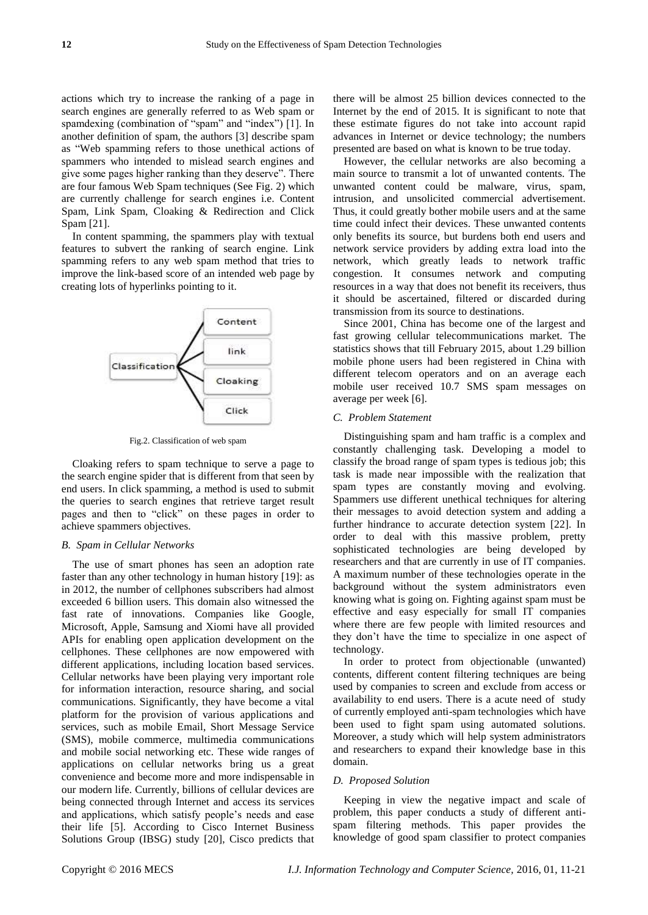actions which try to increase the ranking of a page in search engines are generally referred to as Web spam or spamdexing (combination of "spam" and "index") [1]. In another definition of spam, the authors [3] describe spam as "Web spamming refers to those unethical actions of spammers who intended to mislead search engines and give some pages higher ranking than they deserve". There are four famous Web Spam techniques (See Fig. 2) which are currently challenge for search engines i.e. Content Spam, Link Spam, Cloaking & Redirection and Click Spam [21].

In content spamming, the spammers play with textual features to subvert the ranking of search engine. Link spamming refers to any web spam method that tries to improve the link-based score of an intended web page by creating lots of hyperlinks pointing to it.



Fig.2. Classification of web spam

Cloaking refers to spam technique to serve a page to the search engine spider that is different from that seen by end users. In click spamming, a method is used to submit the queries to search engines that retrieve target result pages and then to "click" on these pages in order to achieve spammers objectives.

## *B. Spam in Cellular Networks*

The use of smart phones has seen an adoption rate faster than any other technology in human history [19]: as in 2012, the number of cellphones subscribers had almost exceeded 6 billion users. This domain also witnessed the fast rate of innovations. Companies like Google, Microsoft, Apple, Samsung and Xiomi have all provided APIs for enabling open application development on the cellphones. These cellphones are now empowered with different applications, including location based services. Cellular networks have been playing very important role for information interaction, resource sharing, and social communications. Significantly, they have become a vital platform for the provision of various applications and services, such as mobile Email, Short Message Service (SMS), mobile commerce, multimedia communications and mobile social networking etc. These wide ranges of applications on cellular networks bring us a great convenience and become more and more indispensable in our modern life. Currently, billions of cellular devices are being connected through Internet and access its services and applications, which satisfy people's needs and ease their life [5]. According to Cisco Internet Business Solutions Group (IBSG) study [20], Cisco predicts that

there will be almost 25 billion devices connected to the Internet by the end of 2015. It is significant to note that these estimate figures do not take into account rapid advances in Internet or device technology; the numbers presented are based on what is known to be true today.

However, the cellular networks are also becoming a main source to transmit a lot of unwanted contents. The unwanted content could be malware, virus, spam, intrusion, and unsolicited commercial advertisement. Thus, it could greatly bother mobile users and at the same time could infect their devices. These unwanted contents only benefits its source, but burdens both end users and network service providers by adding extra load into the network, which greatly leads to network traffic congestion. It consumes network and computing resources in a way that does not benefit its receivers, thus it should be ascertained, filtered or discarded during transmission from its source to destinations.

Since 2001, China has become one of the largest and fast growing cellular telecommunications market. The statistics shows that till February 2015, about 1.29 billion mobile phone users had been registered in China with different telecom operators and on an average each mobile user received 10.7 SMS spam messages on average per week [6].

## *C. Problem Statement*

Distinguishing spam and ham traffic is a complex and constantly challenging task. Developing a model to classify the broad range of spam types is tedious job; this task is made near impossible with the realization that spam types are constantly moving and evolving. Spammers use different unethical techniques for altering their messages to avoid detection system and adding a further hindrance to accurate detection system [22]. In order to deal with this massive problem, pretty sophisticated technologies are being developed by researchers and that are currently in use of IT companies. A maximum number of these technologies operate in the background without the system administrators even knowing what is going on. Fighting against spam must be effective and easy especially for small IT companies where there are few people with limited resources and they don't have the time to specialize in one aspect of technology.

In order to protect from objectionable (unwanted) contents, different content filtering techniques are being used by companies to screen and exclude from access or availability to end users. There is a acute need of study of currently employed anti-spam technologies which have been used to fight spam using automated solutions. Moreover, a study which will help system administrators and researchers to expand their knowledge base in this domain.

#### *D. Proposed Solution*

Keeping in view the negative impact and scale of problem, this paper conducts a study of different antispam filtering methods. This paper provides the knowledge of good spam classifier to protect companies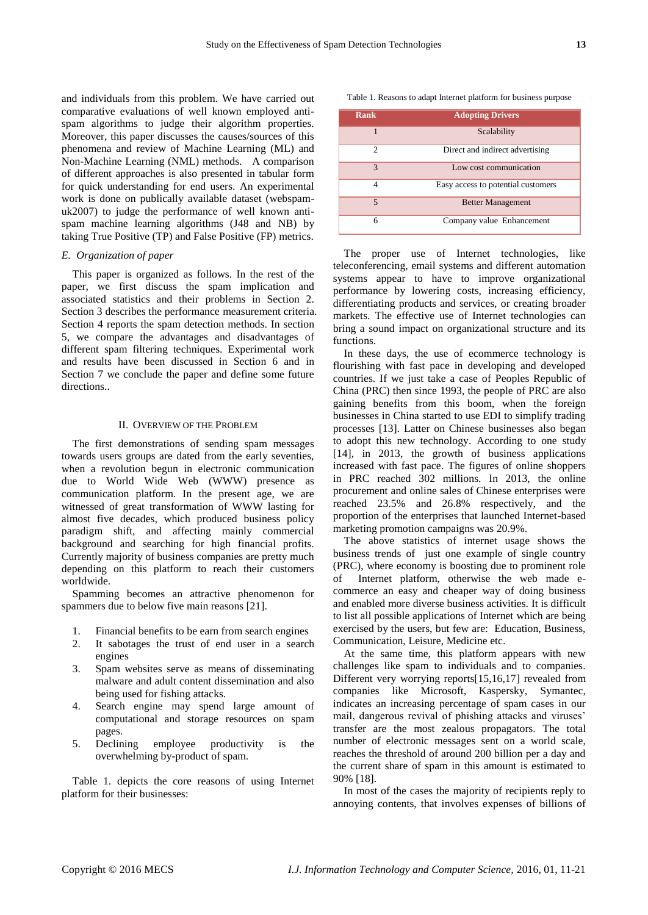and individuals from this problem. We have carried out comparative evaluations of well known employed antispam algorithms to judge their algorithm properties. Moreover, this paper discusses the causes/sources of this phenomena and review of Machine Learning (ML) and Non-Machine Learning (NML) methods. A comparison of different approaches is also presented in tabular form for quick understanding for end users. An experimental work is done on publically available dataset (webspamuk2007) to judge the performance of well known antispam machine learning algorithms (J48 and NB) by taking True Positive (TP) and False Positive (FP) metrics.

# *E. Organization of paper*

This paper is organized as follows. In the rest of the paper, we first discuss the spam implication and associated statistics and their problems in Section 2. Section 3 describes the performance measurement criteria. Section 4 reports the spam detection methods. In section 5, we compare the advantages and disadvantages of different spam filtering techniques. Experimental work and results have been discussed in Section 6 and in Section 7 we conclude the paper and define some future directions..

# II. OVERVIEW OF THE PROBLEM

The first demonstrations of sending spam messages towards users groups are dated from the early seventies, when a revolution begun in electronic communication due to World Wide Web (WWW) presence as communication platform. In the present age, we are witnessed of great transformation of WWW lasting for almost five decades, which produced business policy paradigm shift, and affecting mainly commercial background and searching for high financial profits. Currently majority of business companies are pretty much depending on this platform to reach their customers worldwide.

Spamming becomes an attractive phenomenon for spammers due to below five main reasons [21].

- 1. Financial benefits to be earn from search engines
- 2. It sabotages the trust of end user in a search engines
- 3. Spam websites serve as means of disseminating malware and adult content dissemination and also being used for fishing attacks.
- 4. Search engine may spend large amount of computational and storage resources on spam pages.
- 5. Declining employee productivity is the overwhelming by-product of spam.

Table 1. depicts the core reasons of using Internet platform for their businesses:

Table 1. Reasons to adapt Internet platform for business purpose

| Rank           | <b>Adopting Drivers</b>            |
|----------------|------------------------------------|
| 1              | Scalability                        |
| $\mathfrak{D}$ | Direct and indirect advertising    |
| 3              | Low cost communication             |
| 4              | Easy access to potential customers |
| 5              | <b>Better Management</b>           |
| 6              | Company value Enhancement          |

The proper use of Internet technologies, like teleconferencing, email systems and different automation systems appear to have to improve organizational performance by lowering costs, increasing efficiency, differentiating products and services, or creating broader markets. The effective use of Internet technologies can bring a sound impact on organizational structure and its functions.

In these days, the use of ecommerce technology is flourishing with fast pace in developing and developed countries. If we just take a case of Peoples Republic of China (PRC) then since 1993, the people of PRC are also gaining benefits from this boom, when the foreign businesses in China started to use EDI to simplify trading processes [13]. Latter on Chinese businesses also began to adopt this new technology. According to one study [14], in 2013, the growth of business applications increased with fast pace. The figures of online shoppers in PRC reached 302 millions. In 2013, the online procurement and online sales of Chinese enterprises were reached 23.5% and 26.8% respectively, and the proportion of the enterprises that launched Internet-based marketing promotion campaigns was 20.9%.

The above statistics of internet usage shows the business trends of just one example of single country (PRC), where economy is boosting due to prominent role of Internet platform, otherwise the web made ecommerce an easy and cheaper way of doing business and enabled more diverse business activities. It is difficult to list all possible applications of Internet which are being exercised by the users, but few are: Education, Business, Communication, Leisure, Medicine etc.

At the same time, this platform appears with new challenges like spam to individuals and to companies. Different very worrying reports[15,16,17] revealed from companies like Microsoft, Kaspersky, Symantec, indicates an increasing percentage of spam cases in our mail, dangerous revival of phishing attacks and viruses' transfer are the most zealous propagators. The total number of electronic messages sent on a world scale, reaches the threshold of around 200 billion per a day and the current share of spam in this amount is estimated to 90% [18].

In most of the cases the majority of recipients reply to annoying contents, that involves expenses of billions of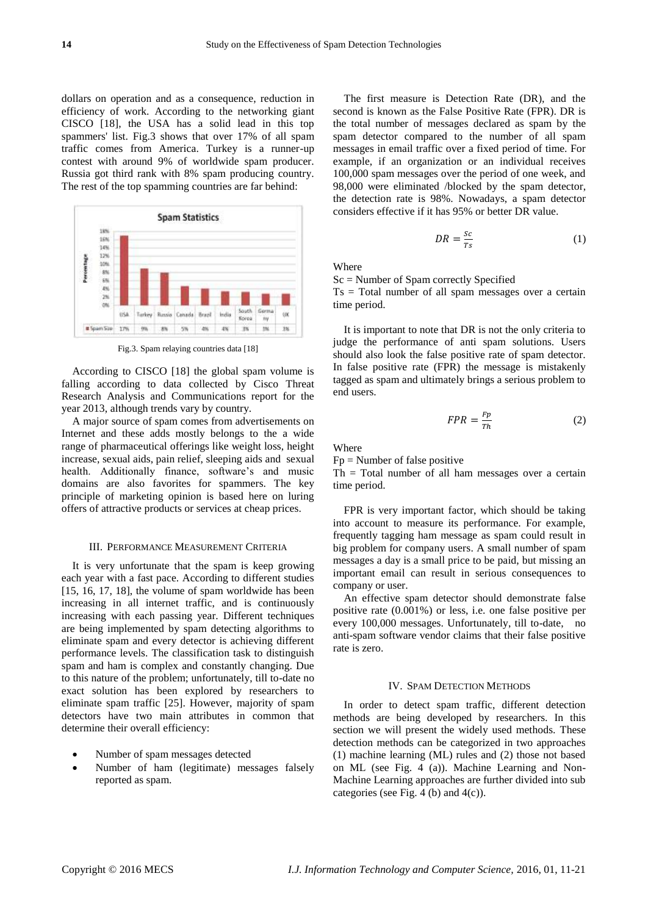dollars on operation and as a consequence, reduction in efficiency of work. According to the networking giant CISCO [18], the USA has a solid lead in this top spammers' list. Fig.3 shows that over 17% of all spam traffic comes from America. Turkey is a runner-up contest with around 9% of worldwide spam producer. Russia got third rank with 8% spam producing country. The rest of the top spamming countries are far behind:



Fig.3. Spam relaying countries data [18]

According to CISCO [18] the global spam volume is falling according to data collected by Cisco Threat Research Analysis and Communications report for the year 2013, although trends vary by country.

A major source of spam comes from advertisements on Internet and these adds mostly belongs to the a wide range of pharmaceutical offerings like weight loss, height increase, sexual aids, pain relief, sleeping aids and sexual health. Additionally finance, software's and music domains are also favorites for spammers. The key principle of marketing opinion is based here on luring offers of attractive products or services at cheap prices.

# III. PERFORMANCE MEASUREMENT CRITERIA

It is very unfortunate that the spam is keep growing each year with a fast pace. According to different studies [15, 16, 17, 18], the volume of spam worldwide has been increasing in all internet traffic, and is continuously increasing with each passing year. Different techniques are being implemented by spam detecting algorithms to eliminate spam and every detector is achieving different performance levels. The classification task to distinguish spam and ham is complex and constantly changing. Due to this nature of the problem; unfortunately, till to-date no exact solution has been explored by researchers to eliminate spam traffic [25]. However, majority of spam detectors have two main attributes in common that determine their overall efficiency:

- Number of spam messages detected
- Number of ham (legitimate) messages falsely reported as spam.

The first measure is Detection Rate (DR), and the second is known as the False Positive Rate (FPR). DR is the total number of messages declared as spam by the spam detector compared to the number of all spam messages in email traffic over a fixed period of time. For example, if an organization or an individual receives 100,000 spam messages over the period of one week, and 98,000 were eliminated /blocked by the spam detector, the detection rate is 98%. Nowadays, a spam detector considers effective if it has 95% or better DR value.

$$
DR = \frac{Sc}{Ts} \tag{1}
$$

Where

Sc = Number of Spam correctly Specified Ts = Total number of all spam messages over a certain time period.

It is important to note that DR is not the only criteria to judge the performance of anti spam solutions. Users should also look the false positive rate of spam detector. In false positive rate (FPR) the message is mistakenly tagged as spam and ultimately brings a serious problem to end users.

$$
FPR = \frac{Fp}{Th} \tag{2}
$$

**Where** 

 $Fp =$  Number of false positive

 $Th = Total number of all ham messages over a certain$ time period.

FPR is very important factor, which should be taking into account to measure its performance. For example, frequently tagging ham message as spam could result in big problem for company users. A small number of spam messages a day is a small price to be paid, but missing an important email can result in serious consequences to company or user.

An effective spam detector should demonstrate false positive rate (0.001%) or less, i.e. one false positive per every 100,000 messages. Unfortunately, till to-date, no anti-spam software vendor claims that their false positive rate is zero.

#### IV. SPAM DETECTION METHODS

In order to detect spam traffic, different detection methods are being developed by researchers. In this section we will present the widely used methods. These detection methods can be categorized in two approaches (1) machine learning (ML) rules and (2) those not based on ML (see Fig. 4 (a)). Machine Learning and Non-Machine Learning approaches are further divided into sub categories (see Fig. 4 (b) and  $4(c)$ ).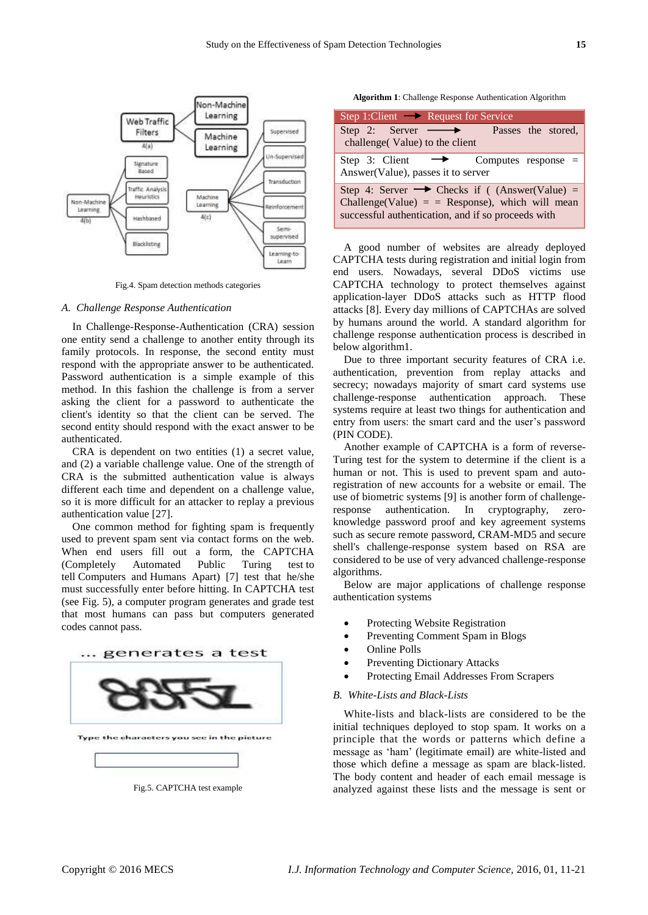

Fig.4. Spam detection methods categories

## *A. Challenge Response Authentication*

In Challenge-Response-Authentication (CRA) session one entity send a challenge to another entity through its family protocols. In response, the second entity must respond with the appropriate answer to be authenticated. Password authentication is a simple example of this method. In this fashion the challenge is from a server asking the client for a password to authenticate the client's identity so that the client can be served. The second entity should respond with the exact answer to be authenticated.

CRA is dependent on two entities (1) a secret value, and (2) a variable challenge value. One of the strength of CRA is the submitted authentication value is always different each time and dependent on a challenge value, so it is more difficult for an attacker to replay a previous authentication value [27].

One common method for fighting spam is frequently used to prevent spam sent via contact forms on the web. When end users fill out a form, the CAPTCHA (Completely Automated Public Turing test to tell Computers and Humans Apart) [7] test that he/she must successfully enter before hitting. In CAPTCHA test (see Fig. 5), a computer program generates and grade test that most humans can pass but computers generated codes cannot pass.



Fig.5. CAPTCHA test example

**Algorithm 1**: Challenge Response Authentication Algorithm

| Step 1:Client $\longrightarrow$ Request for Service                                                                                                                   |  |  |  |  |  |
|-----------------------------------------------------------------------------------------------------------------------------------------------------------------------|--|--|--|--|--|
| Step 2: Server<br>Passes the stored,<br>challenge(Value) to the client                                                                                                |  |  |  |  |  |
| Step 3: Client<br>Computes $response =$<br>Answer(Value), passes it to server                                                                                         |  |  |  |  |  |
| Step 4: Server $\rightarrow$ Checks if ((Answer(Value) =<br>Challenge(Value) $=$ $=$ Response), which will mean<br>successful authentication, and if so proceeds with |  |  |  |  |  |

A good number of websites are already deployed CAPTCHA tests during registration and initial login from end users. Nowadays, several DDoS victims use CAPTCHA technology to protect themselves against application-layer DDoS attacks such as HTTP flood attacks [8]. Every day millions of CAPTCHAs are solved by humans around the world. A standard algorithm for challenge response authentication process is described in below algorithm1.

Due to three important security features of CRA i.e. authentication, prevention from replay attacks and secrecy; nowadays majority of smart card systems use challenge-response authentication approach. These systems require at least two things for authentication and entry from users: the smart card and the user's password (PIN CODE).

Another example of CAPTCHA is a form of reverse-Turing test for the system to determine if the client is a human or not. This is used to prevent spam and autoregistration of new accounts for a website or email. The use of biometric systems [9] is another form of challengeresponse authentication. In cryptography, zeroknowledge password proof and key agreement systems such as secure remote password, CRAM-MD5 and secure shell's challenge-response system based on RSA are considered to be use of very advanced challenge-response algorithms.

Below are major applications of challenge response authentication systems

- Protecting Website Registration
- Preventing Comment Spam in Blogs
- Online Polls
- Preventing Dictionary Attacks
- Protecting Email Addresses From Scrapers

### *B. White-Lists and Black-Lists*

White-lists and black-lists are considered to be the initial techniques deployed to stop spam. It works on a principle that the words or patterns which define a message as 'ham' (legitimate email) are white-listed and those which define a message as spam are black-listed. The body content and header of each email message is analyzed against these lists and the message is sent or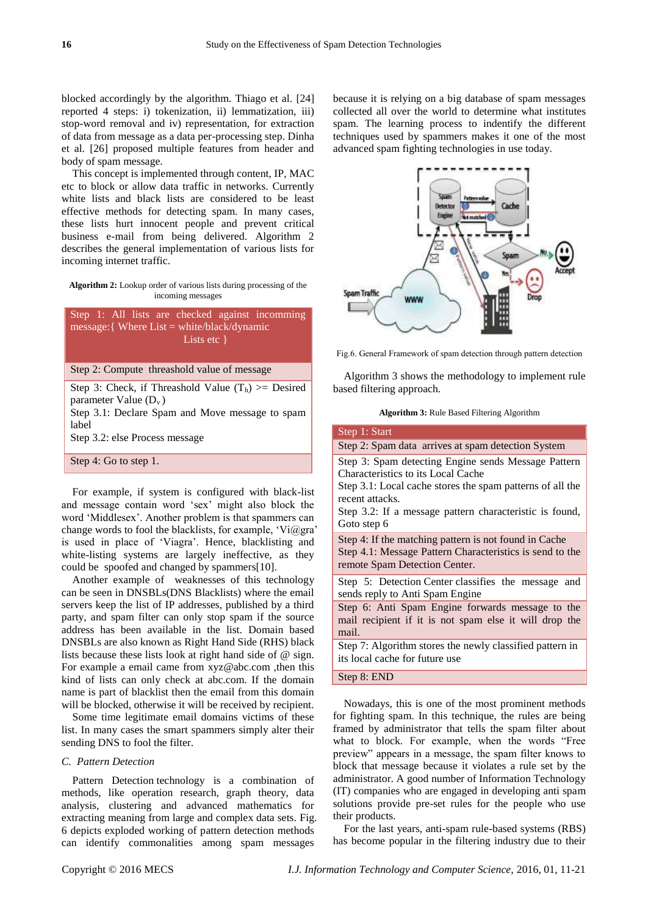blocked accordingly by the algorithm. Thiago et al. [24] reported 4 steps: i) tokenization, ii) lemmatization, iii) stop-word removal and iv) representation, for extraction of data from message as a data per-processing step. Dinha et al. [26] proposed multiple features from header and body of spam message.

This concept is implemented through content, IP, MAC etc to block or allow data traffic in networks. Currently white lists and black lists are considered to be least effective methods for detecting spam. In many cases, these lists hurt innocent people and prevent critical business e-mail from being delivered. Algorithm 2 describes the general implementation of various lists for incoming internet traffic.

**Algorithm 2:** Lookup order of various lists during processing of the incoming messages

Step 1: All lists are checked against incomming message:{ Where List = white/black/dynamic Lists etc }

## Step 2: Compute threashold value of message

Step 3: Check, if Threashold Value  $(T_h)$  >= Desired parameter Value  $(D_v)$ 

Step 3.1: Declare Spam and Move message to spam label

Step 3.2: else Process message

Step 4: Go to step 1.

For example, if system is configured with black-list and message contain word 'sex' might also block the word 'Middlesex'. Another problem is that spammers can change words to fool the blacklists, for example, 'Vi@gra' is used in place of 'Viagra'. Hence, blacklisting and white-listing systems are largely ineffective, as they could be spoofed and changed by spammers[10].

Another example of weaknesses of this technology can be seen in DNSBLs(DNS Blacklists) where the email servers keep the list of IP addresses, published by a third party, and spam filter can only stop spam if the source address has been available in the list. Domain based DNSBLs are also known as Right Hand Side (RHS) black lists because these lists look at right hand side of @ sign. For example a email came from [xyz@abc.com](mailto:xyz@abc.com) , then this kind of lists can only check at abc.com. If the domain name is part of blacklist then the email from this domain will be blocked, otherwise it will be received by recipient.

Some time legitimate email domains victims of these list. In many cases the smart spammers simply alter their sending DNS to fool the filter.

## *C. Pattern Detection*

Pattern Detection technology is a combination of methods, like operation research, graph theory, data analysis, clustering and advanced mathematics for extracting meaning from large and complex data sets. Fig. 6 depicts exploded working of pattern detection methods can identify commonalities among spam messages

because it is relying on a big database of spam messages collected all over the world to determine what institutes spam. The learning process to indentify the different techniques used by spammers makes it one of the most advanced spam fighting technologies in use today.



Fig.6. General Framework of spam detection through pattern detection

Algorithm 3 shows the methodology to implement rule based filtering approach.

**Algorithm 3:** Rule Based Filtering Algorithm

| Step 1: Start                                                                                                                                                                                                                                       |  |  |  |
|-----------------------------------------------------------------------------------------------------------------------------------------------------------------------------------------------------------------------------------------------------|--|--|--|
| Step 2: Spam data arrives at spam detection System                                                                                                                                                                                                  |  |  |  |
| Step 3: Spam detecting Engine sends Message Pattern<br>Characteristics to its Local Cache<br>Step 3.1: Local cache stores the spam patterns of all the<br>recent attacks.<br>Step 3.2: If a message pattern characteristic is found,<br>Goto step 6 |  |  |  |
| Step 4: If the matching pattern is not found in Cache<br>Step 4.1: Message Pattern Characteristics is send to the<br>remote Spam Detection Center.                                                                                                  |  |  |  |
| Step 5: Detection Center classifies the message and<br>sends reply to Anti Spam Engine                                                                                                                                                              |  |  |  |
| Step 6: Anti Spam Engine forwards message to the<br>mail recipient if it is not spam else it will drop the<br>mail.                                                                                                                                 |  |  |  |
| Step 7: Algorithm stores the newly classified pattern in<br>its local cache for future use                                                                                                                                                          |  |  |  |
| Step 8: END                                                                                                                                                                                                                                         |  |  |  |

Nowadays, this is one of the most prominent methods for fighting spam. In this technique, the rules are being framed by administrator that tells the spam filter about what to block. For example, when the words "Free preview" appears in a message, the spam filter knows to block that message because it violates a rule set by the administrator. A good number of Information Technology (IT) companies who are engaged in developing anti spam solutions provide pre-set rules for the people who use their products.

For the last years, anti-spam rule-based systems (RBS) has become popular in the filtering industry due to their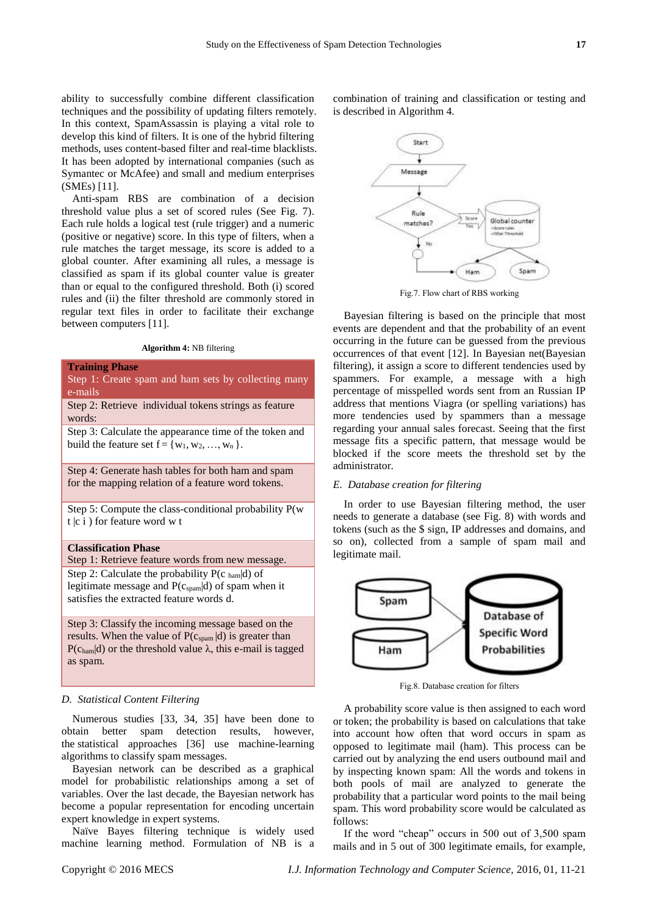ability to successfully combine different classification techniques and the possibility of updating filters remotely. In this context, SpamAssassin is playing a vital role to develop this kind of filters. It is one of the hybrid filtering methods, uses content-based filter and real-time blacklists. It has been adopted by international companies (such as Symantec or McAfee) and small and medium enterprises (SMEs) [11].

Anti-spam RBS are combination of a decision threshold value plus a set of scored rules (See Fig. 7). Each rule holds a logical test (rule trigger) and a numeric (positive or negative) score. In this type of filters, when a rule matches the target message, its score is added to a global counter. After examining all rules, a message is classified as spam if its global counter value is greater than or equal to the configured threshold. Both (i) scored rules and (ii) the filter threshold are commonly stored in regular text files in order to facilitate their exchange between computers [11].

#### **Algorithm 4:** NB filtering

# **Training Phase** Step 1: Create spam and ham sets by collecting many e-mails Step 2: Retrieve individual tokens strings as feature words:

Step 3: Calculate the appearance time of the token and build the feature set  $f = \{w_1, w_2, ..., w_n\}$ .

Step 4: Generate hash tables for both ham and spam for the mapping relation of a feature word tokens.

Step 5: Compute the class-conditional probability P(w t |c i ) for feature word w t

#### **Classification Phase**

Step 1: Retrieve feature words from new message. Step 2: Calculate the probability  $P(c_{ham}|d)$  of legitimate message and  $P(c<sub>spam</sub>|d)$  of spam when it satisfies the extracted feature words d.

Step 3: Classify the incoming message based on the results. When the value of  $P(c_{spam} | d)$  is greater than P(c<sub>ham</sub>|d) or the threshold value  $\lambda$ , this e-mail is tagged as spam.

#### *D. Statistical Content Filtering*

Numerous studies [33, 34, 35] have been done to obtain better spam detection results, however, the statistical approaches [36] use machine-learning algorithms to classify spam messages.

Bayesian network can be described as a graphical model for probabilistic relationships among a set of variables. Over the last decade, the Bayesian network has become a popular representation for encoding uncertain expert knowledge in expert systems.

Naïve Bayes filtering technique is widely used machine learning method. Formulation of NB is a combination of training and classification or testing and is described in Algorithm 4.



Fig.7. Flow chart of RBS working

Bayesian filtering is based on the principle that most events are dependent and that the probability of an event occurring in the future can be guessed from the previous occurrences of that event [12]. In Bayesian net(Bayesian filtering), it assign a score to different tendencies used by spammers. For example, a message with a high percentage of misspelled words sent from an Russian IP address that mentions Viagra (or spelling variations) has more tendencies used by spammers than a message regarding your annual sales forecast. Seeing that the first message fits a specific pattern, that message would be blocked if the score meets the threshold set by the administrator.

#### *E. Database creation for filtering*

In order to use Bayesian filtering method, the user needs to generate a database (see Fig. 8) with words and tokens (such as the \$ sign, IP addresses and domains, and so on), collected from a sample of spam mail and legitimate mail.



Fig.8. Database creation for filters

A probability score value is then assigned to each word or token; the probability is based on calculations that take into account how often that word occurs in spam as opposed to legitimate mail (ham). This process can be carried out by analyzing the end users outbound mail and by inspecting known spam: All the words and tokens in both pools of mail are analyzed to generate the probability that a particular word points to the mail being spam. This word probability score would be calculated as follows:

If the word "cheap" occurs in 500 out of 3,500 spam mails and in 5 out of 300 legitimate emails, for example,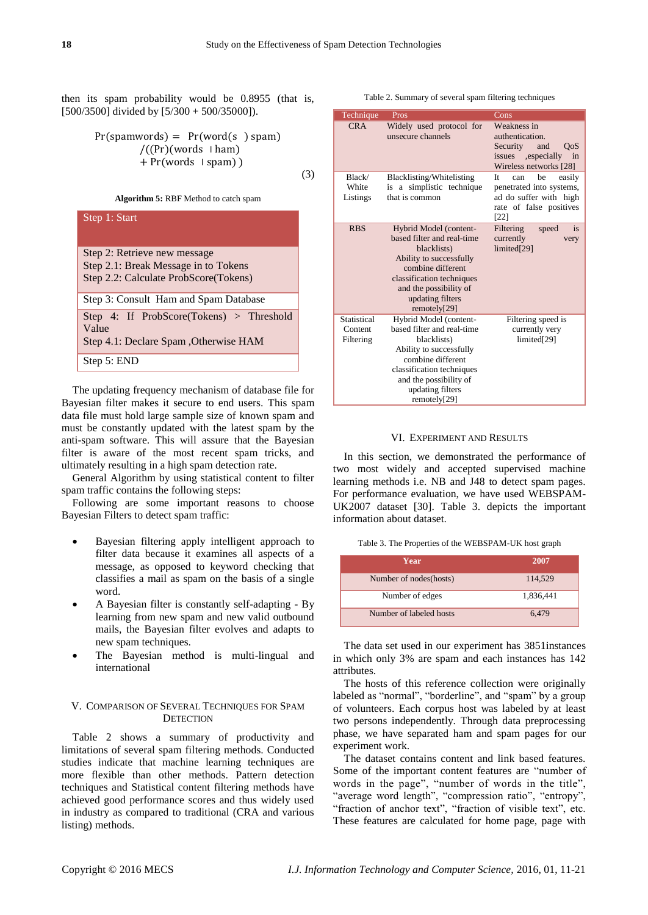(3)

then its spam probability would be 0.8955 (that is, [500/3500] divided by [5/300 + 500/35000]).

$$
Pr(spamwords) = Pr(word(s) spam)
$$
  
\n
$$
/((Pr)(words + ham)
$$
  
\n
$$
+ Pr(words + spam))
$$

#### **Algorithm 5:** RBF Method to catch spam



The updating frequency mechanism of database file for Bayesian filter makes it secure to end users. This spam data file must hold large sample size of known spam and must be constantly updated with the latest spam by the anti-spam software. This will assure that the Bayesian filter is aware of the most recent spam tricks, and ultimately resulting in a high spam detection rate.

General Algorithm by using statistical content to filter spam traffic contains the following steps:

Following are some important reasons to choose Bayesian Filters to detect spam traffic:

- Bayesian filtering apply intelligent approach to filter data because it examines all aspects of a message, as opposed to keyword checking that classifies a mail as spam on the basis of a single word.
- A Bayesian filter is constantly self-adapting By learning from new spam and new valid outbound mails, the Bayesian filter evolves and adapts to new spam techniques.
- The Bayesian method is multi-lingual and international

# V. COMPARISON OF SEVERAL TECHNIQUES FOR SPAM **DETECTION**

Table 2 shows a summary of productivity and limitations of several spam filtering methods. Conducted studies indicate that machine learning techniques are more flexible than other methods. Pattern detection techniques and Statistical content filtering methods have achieved good performance scores and thus widely used in industry as compared to traditional (CRA and various listing) methods.

| Technique                           | Pros                                                                                                                                                                                                           | $\overline{\mathrm{Cons}}$                                                                                            |
|-------------------------------------|----------------------------------------------------------------------------------------------------------------------------------------------------------------------------------------------------------------|-----------------------------------------------------------------------------------------------------------------------|
| <b>CRA</b>                          | Widely used protocol for<br>unsecure channels                                                                                                                                                                  | Weakness in<br>authentication.<br>Security<br>and<br><b>OoS</b><br>issues ,especially<br>in<br>Wireless networks [28] |
| Black/<br>White<br>Listings         | Blacklisting/Whitelisting<br>is a simplistic technique<br>that is common                                                                                                                                       | be<br>It.<br>easily<br>can<br>penetrated into systems,<br>ad do suffer with high<br>rate of false positives<br>[22]   |
| <b>RBS</b>                          | Hybrid Model (content-<br>based filter and real-time<br>blacklists)<br>Ability to successfully<br>combine different<br>classification techniques<br>and the possibility of<br>updating filters<br>remotely[29] | Filtering<br>speed<br>is<br>currently<br>very<br>limited[29]                                                          |
| Statistical<br>Content<br>Filtering | Hybrid Model (content-<br>based filter and real-time<br>blacklists)<br>Ability to successfully<br>combine different<br>classification techniques<br>and the possibility of<br>updating filters<br>remotely[29] | Filtering speed is<br>currently very<br>limited[29]                                                                   |

Table 2. Summary of several spam filtering techniques

# VI. EXPERIMENT AND RESULTS

In this section, we demonstrated the performance of two most widely and accepted supervised machine learning methods i.e. NB and J48 to detect spam pages. For performance evaluation, we have used WEBSPAM-UK2007 dataset [30]. Table 3. depicts the important information about dataset.

Table 3. The Properties of the WEBSPAM-UK host graph

| Year                    | 2007      |
|-------------------------|-----------|
| Number of nodes (hosts) | 114,529   |
| Number of edges         | 1,836,441 |
| Number of labeled hosts | 6.479     |

The data set used in our experiment has 3851instances in which only 3% are spam and each instances has 142 attributes.

The hosts of this reference collection were originally labeled as "normal", "borderline", and "spam" by a group of volunteers. Each corpus host was labeled by at least two persons independently. Through data preprocessing phase, we have separated ham and spam pages for our experiment work.

The dataset contains content and link based features. Some of the important content features are "number of words in the page", "number of words in the title", "average word length", "compression ratio", "entropy", "fraction of anchor text", "fraction of visible text", etc. These features are calculated for home page, page with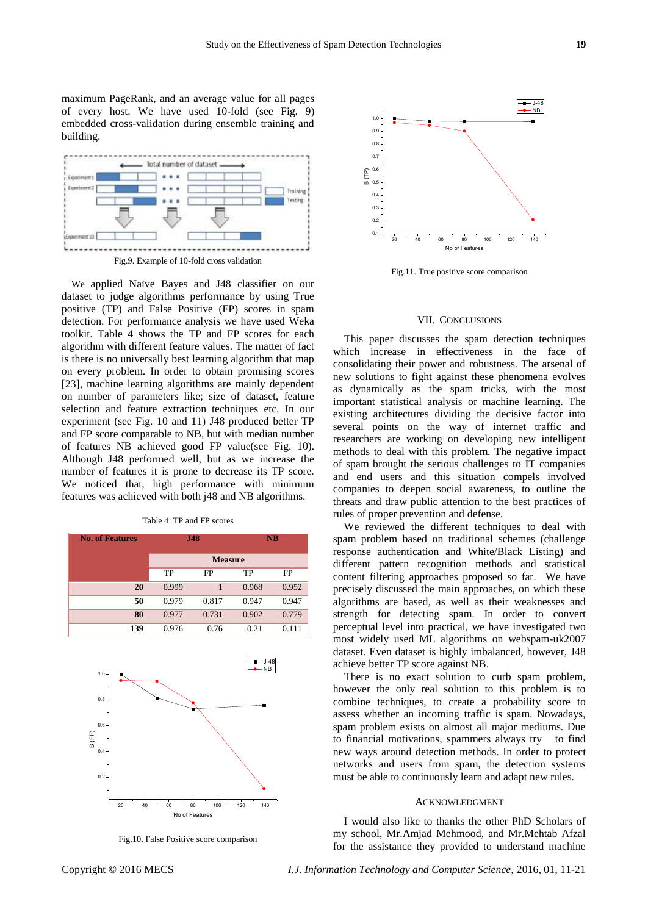maximum PageRank, and an average value for all pages of every host. We have used 10-fold (see Fig. 9) embedded cross-validation during ensemble training and building.



Fig.9. Example of 10-fold cross validation

We applied Naïve Bayes and J48 classifier on our dataset to judge algorithms performance by using True positive (TP) and False Positive (FP) scores in spam detection. For performance analysis we have used Weka toolkit. Table 4 shows the TP and FP scores for each algorithm with different feature values. The matter of fact is there is no universally best learning algorithm that map on every problem. In order to obtain promising scores [23], machine learning algorithms are mainly dependent on number of parameters like; size of dataset, feature selection and feature extraction techniques etc. In our experiment (see Fig. 10 and 11) J48 produced better TP and FP score comparable to NB, but with median number of features NB achieved good FP value(see Fig. 10). Although J48 performed well, but as we increase the number of features it is prone to decrease its TP score. We noticed that, high performance with minimum features was achieved with both j48 and NB algorithms.

| Table 4. TP and FP scores |  |  |  |  |
|---------------------------|--|--|--|--|
|---------------------------|--|--|--|--|

| <b>No. of Features</b> | <b>J48</b>     |       | NB    |           |  |
|------------------------|----------------|-------|-------|-----------|--|
|                        | <b>Measure</b> |       |       |           |  |
|                        | TP             | FP    | TP    | <b>FP</b> |  |
| 20                     | 0.999          |       | 0.968 | 0.952     |  |
| 50                     | 0.979          | 0.817 | 0.947 | 0.947     |  |
| 80                     | 0.977          | 0.731 | 0.902 | 0.779     |  |
| 139                    | 0.976          | 0.76  | 0.21  | 0.111     |  |



Fig.10. False Positive score comparison



Fig.11. True positive score comparison

#### VII. CONCLUSIONS

This paper discusses the spam detection techniques which increase in effectiveness in the face of consolidating their power and robustness. The arsenal of new solutions to fight against these phenomena evolves as dynamically as the spam tricks, with the most important statistical analysis or machine learning. The existing architectures dividing the decisive factor into several points on the way of internet traffic and researchers are working on developing new intelligent methods to deal with this problem. The negative impact of spam brought the serious challenges to IT companies and end users and this situation compels involved companies to deepen social awareness, to outline the threats and draw public attention to the best practices of rules of proper prevention and defense.

We reviewed the different techniques to deal with spam problem based on traditional schemes (challenge response authentication and White/Black Listing) and different pattern recognition methods and statistical content filtering approaches proposed so far. We have precisely discussed the main approaches, on which these algorithms are based, as well as their weaknesses and strength for detecting spam. In order to convert perceptual level into practical, we have investigated two most widely used ML algorithms on webspam-uk2007 dataset. Even dataset is highly imbalanced, however, J48 achieve better TP score against NB.

There is no exact solution to curb spam problem, however the only real solution to this problem is to combine techniques, to create a probability score to assess whether an incoming traffic is spam. Nowadays, spam problem exists on almost all major mediums. Due to financial motivations, spammers always try to find new ways around detection methods. In order to protect networks and users from spam, the detection systems must be able to continuously learn and adapt new rules.

## ACKNOWLEDGMENT

I would also like to thanks the other PhD Scholars of my school, Mr.Amjad Mehmood, and Mr.Mehtab Afzal for the assistance they provided to understand machine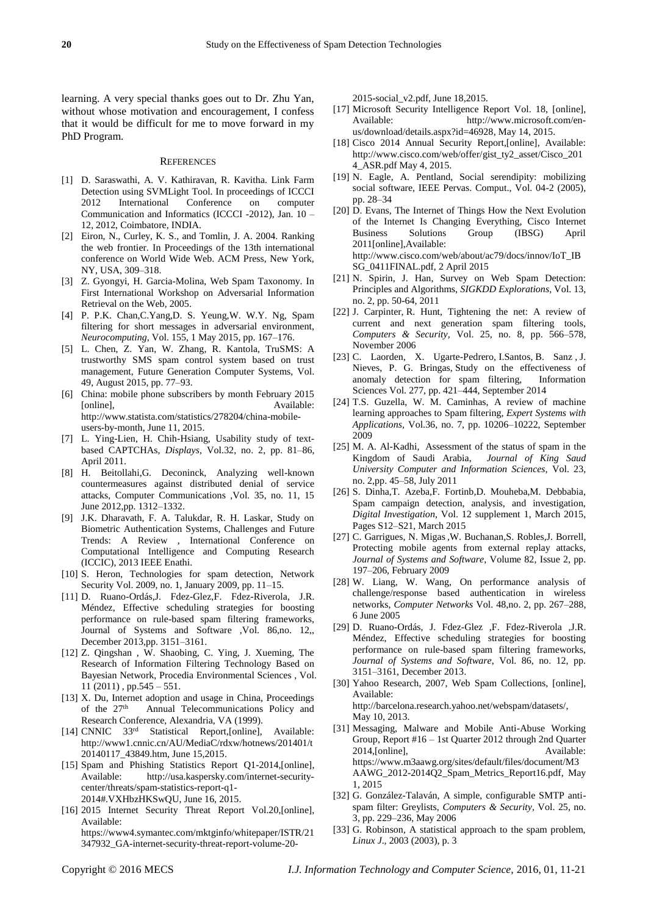learning. A very special thanks goes out to Dr. Zhu Yan, without whose motivation and encouragement, I confess that it would be difficult for me to move forward in my PhD Program.

#### **REFERENCES**

- [1] D. Saraswathi, A. V. Kathiravan, R. Kavitha. Link Farm Detection using SVMLight Tool. In proceedings of ICCCI 2012 International Conference on computer Communication and Informatics (ICCCI -2012), Jan. 10 – 12, 2012, Coimbatore, INDIA.
- [2] Eiron, N., Curley, K. S., and Tomlin, J. A. 2004. Ranking the web frontier. In Proceedings of the 13th international conference on World Wide Web. ACM Press, New York, NY, USA, 309–318.
- [3] Z. Gyongyi, H. Garcia-Molina, Web Spam Taxonomy. In First International Workshop on Adversarial Information Retrieval on the Web, 2005.
- [4] P. P.K. Chan,C.Yang,D. S. Yeung,W. W.Y. Ng, Spam filtering for short messages in adversarial environment, *Neurocomputing,* Vol. 155, 1 May 2015, pp. 167–176.
- [5] L. Chen, Z. Yan, W. Zhang, R. Kantola, TruSMS: A trustworthy SMS spam control system based on trust management, Future Generation Computer Systems, Vol. 49, August 2015, pp. 77–93.
- [6] China: mobile phone subscribers by month February 2015 [online], Available: http://www.statista.com/statistics/278204/china-mobileusers-by-month, June 11, 2015.
- [7] L. Ying-Lien, H. Chih-Hsiang, Usability study of textbased CAPTCHAs, *[Displays,](http://www.sciencedirect.com/science/journal/01419382)* Vol.32, no. 2, pp. 81–86, April 2011.
- [8] H. Beitollahi,G. Deconinck, Analyzing well-known countermeasures against distributed denial of service attacks, Computer Communications ,Vol. 35, no. 11, 15 June 2012,pp. 1312–1332.
- [9] J.K. Dharavath, F. A. Talukdar, R. H. Laskar, Study on Biometric Authentication Systems, Challenges and Future Trends: A Review , International Conference on Computational Intelligence and Computing Research (ICCIC), 2013 IEEE Enathi.
- [10] S. Heron, Technologies for spam detection, Network Security Vol. 2009, no. 1, January 2009, pp. 11–15.
- [11] D. Ruano-Ordás,J. Fdez-Glez,F. Fdez-Riverola, J.R. Méndez, Effective scheduling strategies for boosting performance on rule-based spam filtering frameworks, Journal of Systems and Software ,Vol. 86,no. 12,, December 2013,pp. 3151–3161.
- [12] Z. Qingshan , W. Shaobing, C. Ying, J. Xueming, The Research of Information Filtering Technology Based on Bayesian Network, Procedia Environmental Sciences , Vol. 11 (2011) , pp.545 – 551.
- [13] X. Du, Internet adoption and usage in China, Proceedings of the 27<sup>th</sup> Annual Telecommunications Policy and Research Conference, Alexandria, VA (1999).
- [14] CNNIC 33rd Statistical Report,[online], Available: http://www1.cnnic.cn/AU/MediaC/rdxw/hotnews/201401/t 20140117\_43849.htm, June 15,2015.
- [15] Spam and Phishing Statistics Report Q1-2014,[online], Available: http://usa.kaspersky.com/internet-securitycenter/threats/spam-statistics-report-q1- 2014#.VXHbzHKSwQU, June 16, 2015.
- [16] 2015 Internet Security Threat Report Vol.20, [online], Available: https://www4.symantec.com/mktginfo/whitepaper/ISTR/21 347932\_GA-internet-security-threat-report-volume-20-

2015-social\_v2.pdf, June 18,2015.

- [17] Microsoft Security Intelligence Report Vol. 18, [online], Available: http://www.microsoft.com/enus/download/details.aspx?id=46928, May 14, 2015.
- [18] Cisco 2014 Annual Security Report, [online], Available: http://www.cisco.com/web/offer/gist\_ty2\_asset/Cisco\_201 4\_ASR.pdf May 4, 2015.
- [19] N. Eagle, A. Pentland, Social serendipity: mobilizing social software, IEEE Pervas. Comput., Vol. 04-2 (2005), pp. 28–34
- [20]  $\overline{D}$ . Evans, The Internet of Things How the Next Evolution of the Internet Is Changing Everything, Cisco Internet Business Solutions Group (IBSG) April 2011[online],Available: http://www.cisco.com/web/about/ac79/docs/innov/IoT\_IB SG\_0411FINAL.pdf, 2 April 2015
- [21] N. Spirin, J. Han, Survey on Web Spam Detection: Principles and Algorithms, *SIGKDD Explorations*, Vol. 13, no. 2, pp. 50-64, 2011
- [22] J. Carpinter, R. Hunt, Tightening the net: A review of current and next generation spam filtering tools, *Computers & Security,* Vol. 25, no. 8, pp. 566–578, November 2006
- [23] C. Laorden, X. Ugarte-Pedrero, I.Santos, B. Sanz , J. Nieves, P. G. Bringas, Study on the effectiveness of anomaly detection for spam filtering, Information Sciences Vol. 277, pp. 421–444, September 2014
- [24] T.S. Guzella, W. M. Caminhas, A review of machine learning approaches to Spam filtering, *Expert Systems with Applications,* Vol.36, no. 7, pp. 10206–10222, September 2009
- [25] M. A. Al-Kadhi, Assessment of the status of spam in the Kingdom of Saudi Arabia, *Journal of King Saud University Computer and Information Sciences,* Vol. 23, no. 2,pp. 45–58, July 2011
- [26] S. Dinha,T. Azeba,F. Fortinb,D. Mouheba,M. Debbabia, Spam campaign detection, analysis, and investigation, *Digital Investigation*, Vol. 12 supplement 1, March 2015, Pages S12–S21, March 2015
- [27] C. Garrigues, N. Migas,W. Buchanan,S. Robles,J. Borrell, Protecting mobile agents from external replay attacks, *Journal of Systems and Software*, Volume 82, Issue 2, pp. 197–206, February 2009
- [28] W. Liang, W. Wang, On performance analysis of challenge/response based authentication in wireless networks, *Computer Networks* Vol. 48,no. 2, pp. 267–288, 6 June 2005
- [29] D. Ruano-Ordás, J. Fdez-Glez ,F. Fdez-Riverola ,J.R. Méndez, Effective scheduling strategies for boosting performance on rule-based spam filtering frameworks, *Journal of Systems and Software*, Vol. 86, no. 12, pp. 3151–3161, December 2013.
- [30] Yahoo Research, 2007, Web Spam Collections, [online], Available: http://barcelona.research.yahoo.net/webspam/datasets/, May 10, 2013.
- [31] Messaging, Malware and Mobile Anti-Abuse Working Group, Report #16 – 1st Quarter 2012 through 2nd Quarter 2014,[online], Available: https://www.m3aawg.org/sites/default/files/document/M3 AAWG\_2012-2014Q2\_Spam\_Metrics\_Report16.pdf, May 1, 2015
- [32] G. Gonz ález-Talaván, A simple, configurable SMTP antispam filter: Greylists, *Computers & Security,* Vol. 25, no. 3*,* pp. 229–236, May 2006
- [33] G. Robinson, A statistical approach to the spam problem, *Linux J*., 2003 (2003), p. 3